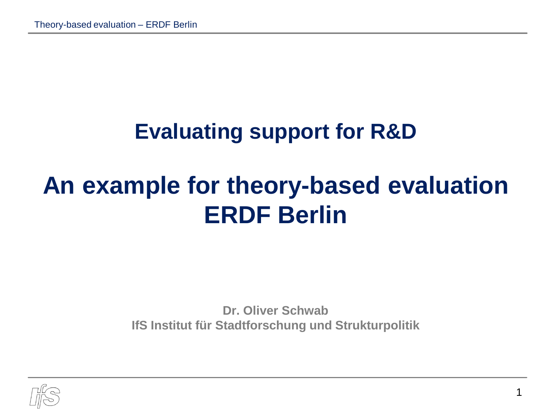#### **Evaluating support for R&D**

## **An example for theory-based evaluation ERDF Berlin**

**Dr. Oliver Schwab IfS Institut für Stadtforschung und Strukturpolitik**

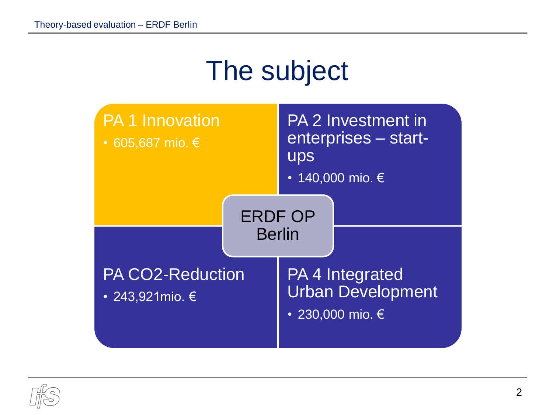## The subject



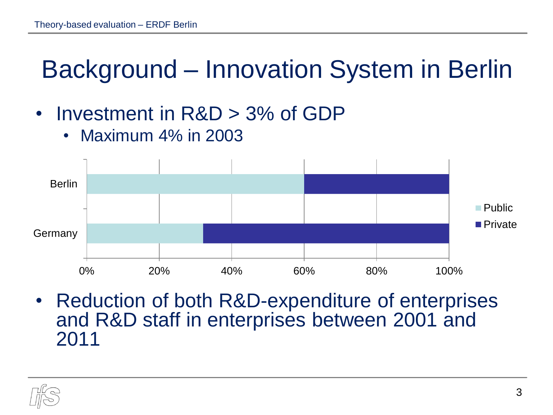## Background – Innovation System in Berlin

- Investment in R&D > 3% of GDP
	- Maximum 4% in 2003



• Reduction of both R&D-expenditure of enterprises and R&D staff in enterprises between 2001 and 2011

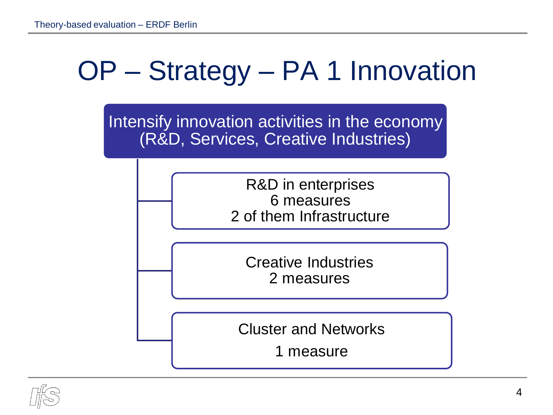## OP – Strategy – PA 1 Innovation

Intensify innovation activities in the economy (R&D, Services, Creative Industries)

> R&D in enterprises 6 measures 2 of them Infrastructure

Creative Industries 2 measures

Cluster and Networks

1 measure

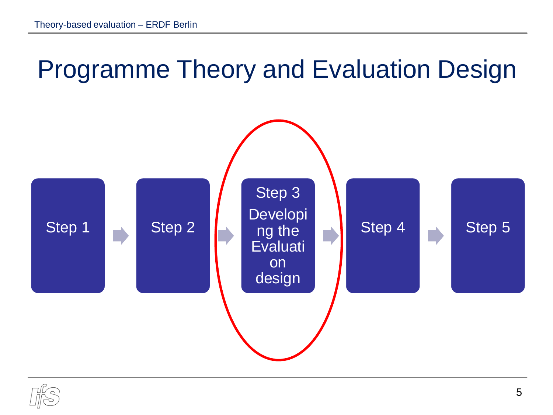#### Programme Theory and Evaluation Design



$$
\text{Tr}\left(\frac{1}{2}\right)
$$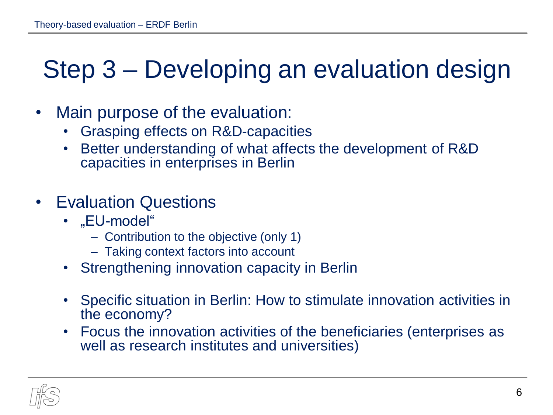### Step 3 – Developing an evaluation design

- Main purpose of the evaluation:
	- Grasping effects on R&D-capacities
	- Better understanding of what affects the development of R&D capacities in enterprises in Berlin
- Evaluation Questions
	- "EU-model"
		- Contribution to the objective (only 1)
		- Taking context factors into account
	- Strengthening innovation capacity in Berlin
	- Specific situation in Berlin: How to stimulate innovation activities in the economy?
	- Focus the innovation activities of the beneficiaries (enterprises as well as research institutes and universities)

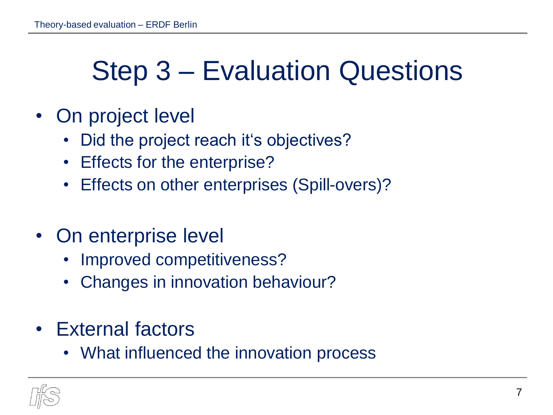## Step 3 – Evaluation Questions

- On project level
	- Did the project reach it's objectives?
	- Effects for the enterprise?
	- Effects on other enterprises (Spill-overs)?
- On enterprise level
	- Improved competitiveness?
	- Changes in innovation behaviour?
- External factors
	- What influenced the innovation process

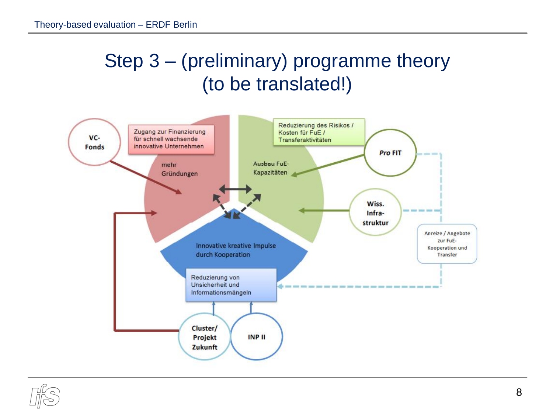#### Step 3 – (preliminary) programme theory (to be translated!)



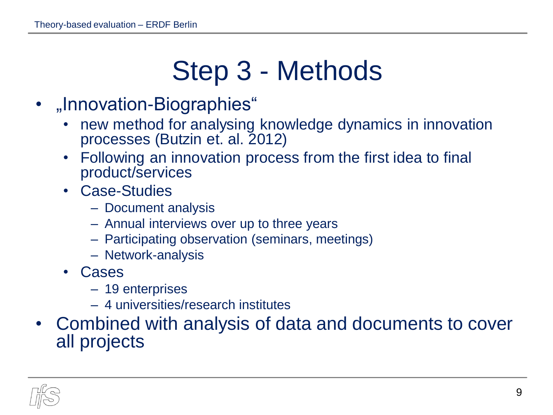# Step 3 - Methods

- "Innovation-Biographies"
	- new method for analysing knowledge dynamics in innovation processes (Butzin et. al. 2012)
	- Following an innovation process from the first idea to final product/services
	- Case-Studies
		- Document analysis
		- Annual interviews over up to three years
		- Participating observation (seminars, meetings)
		- Network-analysis
	- Cases
		- 19 enterprises
		- 4 universities/research institutes
- Combined with analysis of data and documents to cover all projects

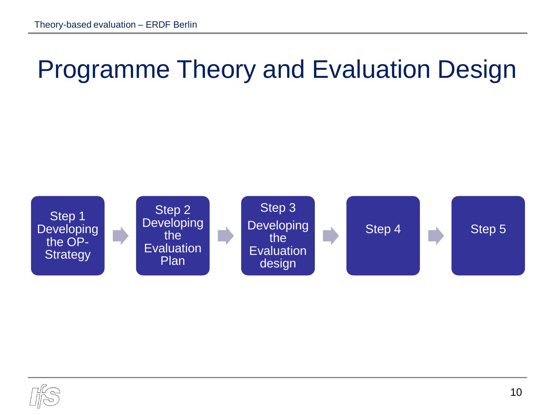## Programme Theory and Evaluation Design



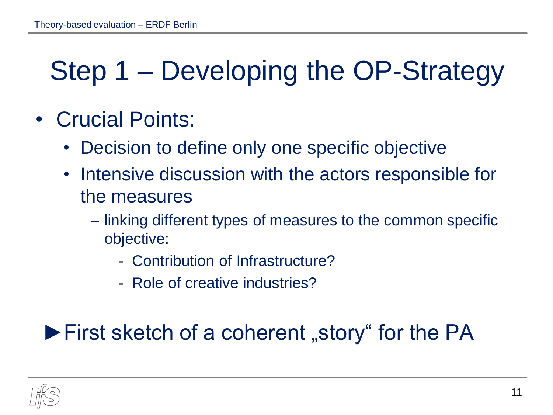## Step 1 – Developing the OP-Strategy

- Crucial Points:
	- Decision to define only one specific objective
	- Intensive discussion with the actors responsible for the measures
		- linking different types of measures to the common specific objective:
			- Contribution of Infrastructure?
			- Role of creative industries?

#### $\blacktriangleright$  First sketch of a coherent "story" for the PA

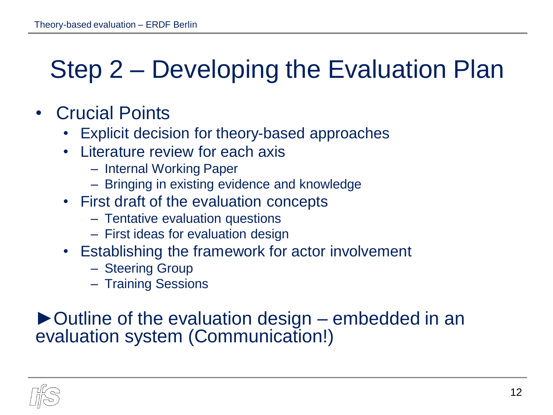### Step 2 – Developing the Evaluation Plan

- Crucial Points
	- Explicit decision for theory-based approaches
	- Literature review for each axis
		- Internal Working Paper
		- Bringing in existing evidence and knowledge
	- First draft of the evaluation concepts
		- Tentative evaluation questions
		- First ideas for evaluation design
	- Establishing the framework for actor involvement
		- Steering Group
		- Training Sessions

#### ►Outline of the evaluation design – embedded in an evaluation system (Communication!)

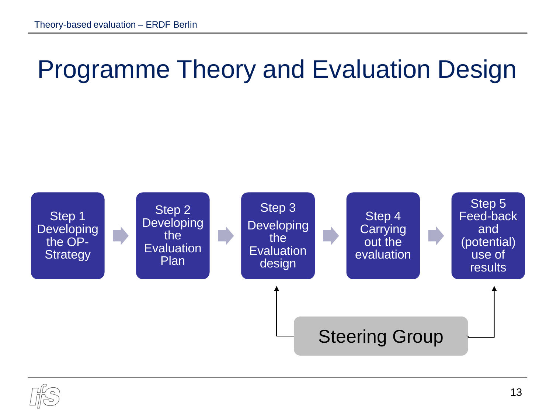## Programme Theory and Evaluation Design